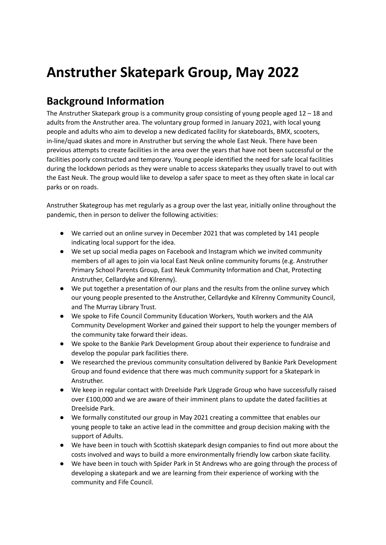# **Anstruther Skatepark Group, May 2022**

#### **Background Information**

The Anstruther Skatepark group is a community group consisting of young people aged  $12 - 18$  and adults from the Anstruther area. The voluntary group formed in January 2021, with local young people and adults who aim to develop a new dedicated facility for skateboards, BMX, scooters, in-line/quad skates and more in Anstruther but serving the whole East Neuk. There have been previous attempts to create facilities in the area over the years that have not been successful or the facilities poorly constructed and temporary. Young people identified the need for safe local facilities during the lockdown periods as they were unable to access skateparks they usually travel to out with the East Neuk. The group would like to develop a safer space to meet as they often skate in local car parks or on roads.

Anstruther Skategroup has met regularly as a group over the last year, initially online throughout the pandemic, then in person to deliver the following activities:

- We carried out an online survey in December 2021 that was completed by 141 people indicating local support for the idea.
- We set up social media pages on Facebook and Instagram which we invited community members of all ages to join via local East Neuk online community forums (e.g. Anstruther Primary School Parents Group, East Neuk Community Information and Chat, Protecting Anstruther, Cellardyke and Kilrenny).
- We put together a presentation of our plans and the results from the online survey which our young people presented to the Anstruther, Cellardyke and Kilrenny Community Council, and The Murray Library Trust.
- We spoke to Fife Council Community Education Workers, Youth workers and the AIA Community Development Worker and gained their support to help the younger members of the community take forward their ideas.
- We spoke to the Bankie Park Development Group about their experience to fundraise and develop the popular park facilities there.
- We researched the previous community consultation delivered by Bankie Park Development Group and found evidence that there was much community support for a Skatepark in Anstruther.
- We keep in regular contact with Dreelside Park Upgrade Group who have successfully raised over £100,000 and we are aware of their imminent plans to update the dated facilities at Dreelside Park.
- We formally constituted our group in May 2021 creating a committee that enables our young people to take an active lead in the committee and group decision making with the support of Adults.
- We have been in touch with Scottish skatepark design companies to find out more about the costs involved and ways to build a more environmentally friendly low carbon skate facility.
- We have been in touch with Spider Park in St Andrews who are going through the process of developing a skatepark and we are learning from their experience of working with the community and Fife Council.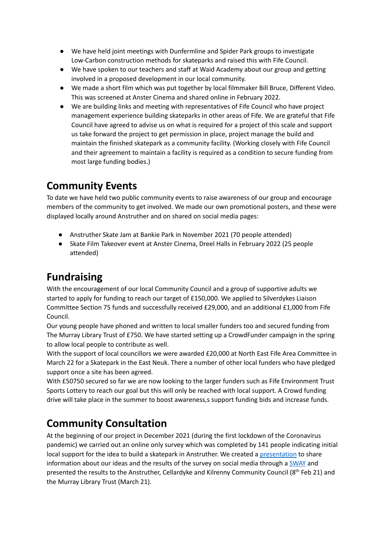- We have held joint meetings with Dunfermline and Spider Park groups to investigate Low-Carbon construction methods for skateparks and raised this with Fife Council.
- We have spoken to our teachers and staff at Waid Academy about our group and getting involved in a proposed development in our local community.
- We made a short film which was put together by local filmmaker Bill Bruce, Different Video. This was screened at Anster Cinema and shared online in February 2022.
- We are building links and meeting with representatives of Fife Council who have project management experience building skateparks in other areas of Fife. We are grateful that Fife Council have agreed to advise us on what is required for a project of this scale and support us take forward the project to get permission in place, project manage the build and maintain the finished skatepark as a community facility. (Working closely with Fife Council and their agreement to maintain a facility is required as a condition to secure funding from most large funding bodies.)

### **Community Events**

To date we have held two public community events to raise awareness of our group and encourage members of the community to get involved. We made our own promotional posters, and these were displayed locally around Anstruther and on shared on social media pages:

- Anstruther Skate Jam at Bankie Park in November 2021 (70 people attended)
- Skate Film Takeover event at Anster Cinema, Dreel Halls in February 2022 (25 people attended)

# **Fundraising**

With the encouragement of our local Community Council and a group of supportive adults we started to apply for funding to reach our target of £150,000. We applied to Silverdykes Liaison Committee Section 75 funds and successfully received £29,000, and an additional £1,000 from Fife Council.

Our young people have phoned and written to local smaller funders too and secured funding from The Murray Library Trust of £750. We have started setting up a CrowdFunder campaign in the spring to allow local people to contribute as well.

With the support of local councillors we were awarded £20,000 at North East Fife Area Committee in March 22 for a Skatepark in the East Neuk. There a number of other local funders who have pledged support once a site has been agreed.

With £50750 secured so far we are now looking to the larger funders such as Fife Environment Trust Sports Lottery to reach our goal but this will only be reached with local support. A Crowd funding drive will take place in the summer to boost awareness,s support funding bids and increase funds.

# **Community Consultation**

At the beginning of our project in December 2021 (during the first lockdown of the Coronavirus pandemic) we carried out an online only survey which was completed by 141 people indicating initial local support for the idea to build a skatepark in Anstruther. We created a [presentation](https://drive.google.com/file/d/1kF1sdaFD1Ld3WOd1VbVw0SF8zMkGbysa/view?usp=sharing) to share information about our ideas and the results of the survey on social media through a [SWAY](https://sway.office.com/ShL2crKtMdZPEq3j?ref=Link) and presented the results to the Anstruther, Cellardyke and Kilrenny Community Council (8<sup>th</sup> Feb 21) and the Murray Library Trust (March 21).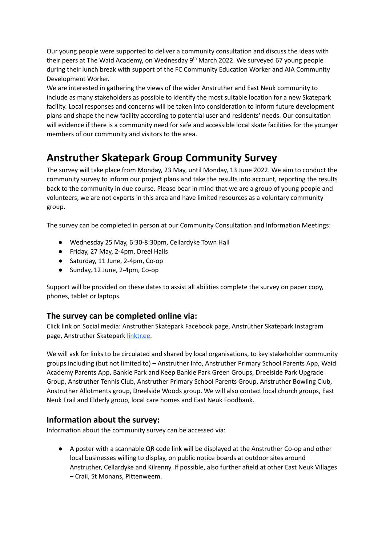Our young people were supported to deliver a community consultation and discuss the ideas with their peers at The Waid Academy, on Wednesday 9<sup>th</sup> March 2022. We surveyed 67 young people during their lunch break with support of the FC Community Education Worker and AIA Community Development Worker.

We are interested in gathering the views of the wider Anstruther and East Neuk community to include as many stakeholders as possible to identify the most suitable location for a new Skatepark facility. Local responses and concerns will be taken into consideration to inform future development plans and shape the new facility according to potential user and residents' needs. Our consultation will evidence if there is a community need for safe and accessible local skate facilities for the younger members of our community and visitors to the area.

### **Anstruther Skatepark Group Community Survey**

The survey will take place from Monday, 23 May, until Monday, 13 June 2022. We aim to conduct the community survey to inform our project plans and take the results into account, reporting the results back to the community in due course. Please bear in mind that we are a group of young people and volunteers, we are not experts in this area and have limited resources as a voluntary community group.

The survey can be completed in person at our Community Consultation and Information Meetings:

- Wednesday 25 May, 6:30-8:30pm, Cellardyke Town Hall
- Friday, 27 May, 2-4pm, Dreel Halls
- Saturday, 11 June, 2-4pm, Co-op
- Sunday, 12 June, 2-4pm, Co-op

Support will be provided on these dates to assist all abilities complete the survey on paper copy, phones, tablet or laptops.

#### **The survey can be completed online via:**

Click link on Social media: Anstruther Skatepark Facebook page, Anstruther Skatepark Instagram page, Anstruther Skatepark [linktr.ee.](https://linktr.ee/anstruther.skatepark)

We will ask for links to be circulated and shared by local organisations, to key stakeholder community groups including (but not limited to) – Anstruther Info, Anstruther Primary School Parents App, Waid Academy Parents App, Bankie Park and Keep Bankie Park Green Groups, Dreelside Park Upgrade Group, Anstruther Tennis Club, Anstruther Primary School Parents Group, Anstruther Bowling Club, Anstruther Allotments group, Dreelside Woods group. We will also contact local church groups, East Neuk Frail and Elderly group, local care homes and East Neuk Foodbank.

#### **Information about the survey:**

Information about the community survey can be accessed via:

● A poster with a scannable QR code link will be displayed at the Anstruther Co-op and other local businesses willing to display, on public notice boards at outdoor sites around Anstruther, Cellardyke and Kilrenny. If possible, also further afield at other East Neuk Villages – Crail, St Monans, Pittenweem.